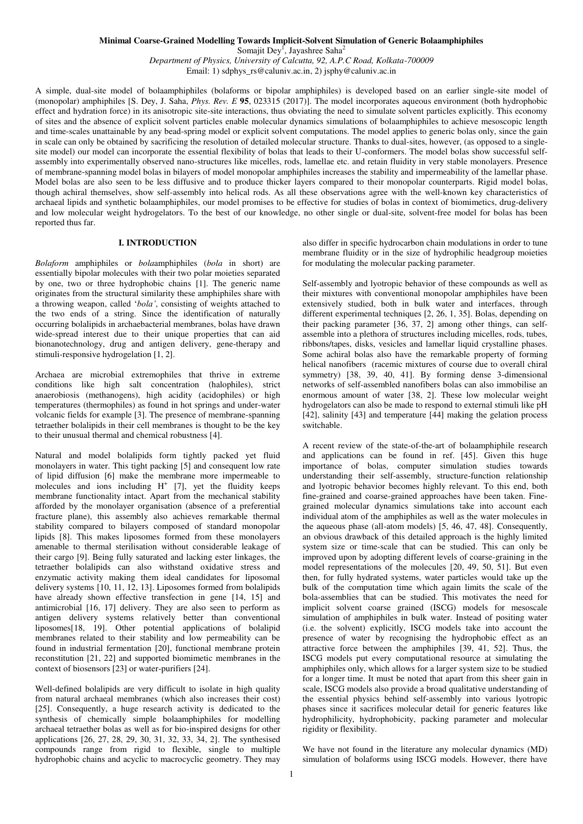### **Minimal Coarse-Grained Modelling Towards Implicit-Solvent Simulation of Generic Bolaamphiphiles**

Somajit Dey<sup>1</sup>, Jayashree Saha<sup>2</sup>

*Department of Physics, University of Calcutta, 92, A.P.C Road, Kolkata-700009* Email: 1) sdphys\_rs@caluniv.ac.in, 2) jsphy@caluniv.ac.in

A simple, dual-site model of bolaamphiphiles (bolaforms or bipolar amphiphiles) is developed based on an earlier single-site model of (monopolar) amphiphiles [S. Dey, J. Saha, *Phys. Rev. E* **95**, 023315 (2017)]. The model incorporates aqueous environment (both hydrophobic effect and hydration force) in its anisotropic site-site interactions, thus obviating the need to simulate solvent particles explicitly. This economy of sites and the absence of explicit solvent particles enable molecular dynamics simulations of bolaamphiphiles to achieve mesoscopic length and time-scales unattainable by any bead-spring model or explicit solvent computations. The model applies to generic bolas only, since the gain in scale can only be obtained by sacrificing the resolution of detailed molecular structure. Thanks to dual-sites, however, (as opposed to a singlesite model) our model can incorporate the essential flexibility of bolas that leads to their U-conformers. The model bolas show successful selfassembly into experimentally observed nano-structures like micelles, rods, lamellae etc. and retain fluidity in very stable monolayers. Presence of membrane-spanning model bolas in bilayers of model monopolar amphiphiles increases the stability and impermeability of the lamellar phase. Model bolas are also seen to be less diffusive and to produce thicker layers compared to their monopolar counterparts. Rigid model bolas, though achiral themselves, show self-assembly into helical rods. As all these observations agree with the well-known key characteristics of archaeal lipids and synthetic bolaamphiphiles, our model promises to be effective for studies of bolas in context of biomimetics, drug-delivery and low molecular weight hydrogelators. To the best of our knowledge, no other single or dual-site, solvent-free model for bolas has been reported thus far.

## **I. INTRODUCTION**

*Bolaform* amphiphiles or *bola*amphiphiles (*bola* in short) are essentially bipolar molecules with their two polar moieties separated by one, two or three hydrophobic chains [1]. The generic name originates from the structural similarity these amphiphiles share with a throwing weapon, called '*bola'*, consisting of weights attached to the two ends of a string. Since the identification of naturally occurring bolalipids in archaebacterial membranes, bolas have drawn wide-spread interest due to their unique properties that can aid bionanotechnology, drug and antigen delivery, gene-therapy and stimuli-responsive hydrogelation [1, 2].

Archaea are microbial extremophiles that thrive in extreme conditions like high salt concentration (halophiles), strict anaerobiosis (methanogens), high acidity (acidophiles) or high temperatures (thermophiles) as found in hot springs and under-water volcanic fields for example [3]. The presence of membrane-spanning tetraether bolalipids in their cell membranes is thought to be the key to their unusual thermal and chemical robustness [4].

Natural and model bolalipids form tightly packed yet fluid monolayers in water. This tight packing [5] and consequent low rate of lipid diffusion [6] make the membrane more impermeable to molecules and ions including  $H^+$  [7], yet the fluidity keeps membrane functionality intact. Apart from the mechanical stability afforded by the monolayer organisation (absence of a preferential fracture plane), this assembly also achieves remarkable thermal stability compared to bilayers composed of standard monopolar lipids [8]. This makes liposomes formed from these monolayers amenable to thermal sterilisation without considerable leakage of their cargo [9]. Being fully saturated and lacking ester linkages, the tetraether bolalipids can also withstand oxidative stress and enzymatic activity making them ideal candidates for liposomal delivery systems [10, 11, 12, 13]. Liposomes formed from bolalipids have already shown effective transfection in gene [14, 15] and antimicrobial [16, 17] delivery. They are also seen to perform as antigen delivery systems relatively better than conventional liposomes[18, 19]. Other potential applications of bolalipid membranes related to their stability and low permeability can be found in industrial fermentation [20], functional membrane protein reconstitution [21, 22] and supported biomimetic membranes in the context of biosensors [23] or water-purifiers [24].

Well-defined bolalipids are very difficult to isolate in high quality from natural archaeal membranes (which also increases their cost) [25]. Consequently, a huge research activity is dedicated to the synthesis of chemically simple bolaamphiphiles for modelling archaeal tetraether bolas as well as for bio-inspired designs for other applications [26, 27, 28, 29, 30, 31, 32, 33, 34, 2]. The synthesised compounds range from rigid to flexible, single to multiple hydrophobic chains and acyclic to macrocyclic geometry. They may also differ in specific hydrocarbon chain modulations in order to tune membrane fluidity or in the size of hydrophilic headgroup moieties for modulating the molecular packing parameter.

Self-assembly and lyotropic behavior of these compounds as well as their mixtures with conventional monopolar amphiphiles have been extensively studied, both in bulk water and interfaces, through different experimental techniques [2, 26, 1, 35]. Bolas, depending on their packing parameter [36, 37, 2] among other things, can selfassemble into a plethora of structures including micelles, rods, tubes, ribbons/tapes, disks, vesicles and lamellar liquid crystalline phases. Some achiral bolas also have the remarkable property of forming helical nanofibers (racemic mixtures of course due to overall chiral symmetry) [38, 39, 40, 41]. By forming dense 3-dimensional networks of self-assembled nanofibers bolas can also immobilise an enormous amount of water [38, 2]. These low molecular weight hydrogelators can also be made to respond to external stimuli like pH [42], salinity [43] and temperature [44] making the gelation process switchable.

A recent review of the state-of-the-art of bolaamphiphile research and applications can be found in ref. [45]. Given this huge importance of bolas, computer simulation studies towards understanding their self-assembly, structure-function relationship and lyotropic behavior becomes highly relevant. To this end, both fine-grained and coarse-grained approaches have been taken. Finegrained molecular dynamics simulations take into account each individual atom of the amphiphiles as well as the water molecules in the aqueous phase (all-atom models) [5, 46, 47, 48]. Consequently, an obvious drawback of this detailed approach is the highly limited system size or time-scale that can be studied. This can only be improved upon by adopting different levels of coarse-graining in the model representations of the molecules [20, 49, 50, 51]. But even then, for fully hydrated systems, water particles would take up the bulk of the computation time which again limits the scale of the bola-assemblies that can be studied. This motivates the need for implicit solvent coarse grained (ISCG) models for mesoscale simulation of amphiphiles in bulk water. Instead of positing water (i.e. the solvent) explicitly, ISCG models take into account the presence of water by recognising the hydrophobic effect as an attractive force between the amphiphiles [39, 41, 52]. Thus, the ISCG models put every computational resource at simulating the amphiphiles only, which allows for a larger system size to be studied for a longer time. It must be noted that apart from this sheer gain in scale, ISCG models also provide a broad qualitative understanding of the essential physics behind self-assembly into various lyotropic phases since it sacrifices molecular detail for generic features like hydrophilicity, hydrophobicity, packing parameter and molecular rigidity or flexibility.

We have not found in the literature any molecular dynamics (MD) simulation of bolaforms using ISCG models. However, there have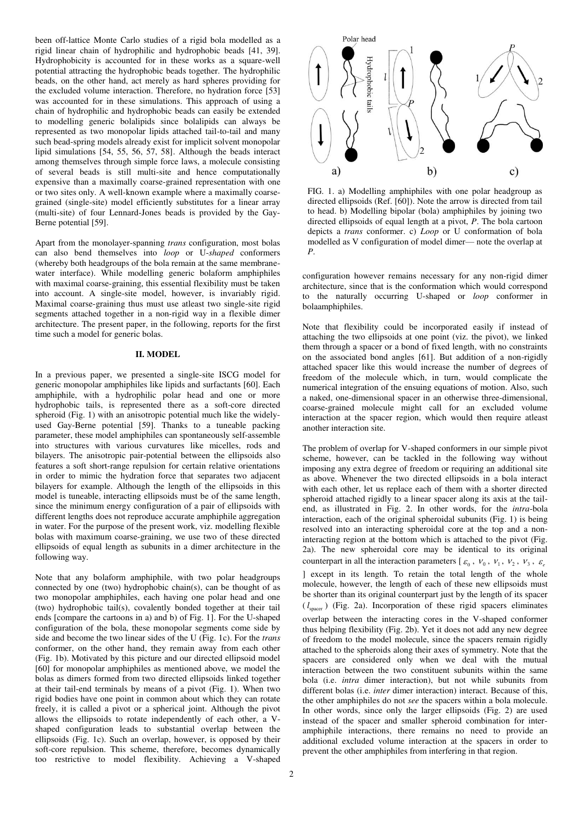been off-lattice Monte Carlo studies of a rigid bola modelled as a rigid linear chain of hydrophilic and hydrophobic beads [41, 39]. Hydrophobicity is accounted for in these works as a square-well potential attracting the hydrophobic beads together. The hydrophilic beads, on the other hand, act merely as hard spheres providing for the excluded volume interaction. Therefore, no hydration force [53] was accounted for in these simulations. This approach of using a chain of hydrophilic and hydrophobic beads can easily be extended to modelling generic bolalipids since bolalipids can always be represented as two monopolar lipids attached tail-to-tail and many such bead-spring models already exist for implicit solvent monopolar lipid simulations [54, 55, 56, 57, 58]. Although the beads interact among themselves through simple force laws, a molecule consisting of several beads is still multi-site and hence computationally expensive than a maximally coarse-grained representation with one or two sites only. A well-known example where a maximally coarsegrained (single-site) model efficiently substitutes for a linear array (multi-site) of four Lennard-Jones beads is provided by the Gay-Berne potential [59].

Apart from the monolayer-spanning *trans* configuration, most bolas can also bend themselves into *loop* or U-*shaped* conformers (whereby both headgroups of the bola remain at the same membranewater interface). While modelling generic bolaform amphiphiles with maximal coarse-graining, this essential flexibility must be taken into account. A single-site model, however, is invariably rigid. Maximal coarse-graining thus must use atleast two single-site rigid segments attached together in a non-rigid way in a flexible dimer architecture. The present paper, in the following, reports for the first time such a model for generic bolas.

### **II. MODEL**

In a previous paper, we presented a single-site ISCG model for generic monopolar amphiphiles like lipids and surfactants [60]. Each amphiphile, with a hydrophilic polar head and one or more hydrophobic tails, is represented there as a soft-core directed spheroid (Fig. 1) with an anisotropic potential much like the widelyused Gay-Berne potential [59]. Thanks to a tuneable packing parameter, these model amphiphiles can spontaneously self-assemble into structures with various curvatures like micelles, rods and bilayers. The anisotropic pair-potential between the ellipsoids also features a soft short-range repulsion for certain relative orientations in order to mimic the hydration force that separates two adjacent bilayers for example. Although the length of the ellipsoids in this model is tuneable, interacting ellipsoids must be of the same length, since the minimum energy configuration of a pair of ellipsoids with different lengths does not reproduce accurate amphiphile aggregation in water. For the purpose of the present work, viz. modelling flexible bolas with maximum coarse-graining, we use two of these directed ellipsoids of equal length as subunits in a dimer architecture in the following way.

Note that any bolaform amphiphile, with two polar headgroups connected by one (two) hydrophobic chain(s), can be thought of as two monopolar amphiphiles, each having one polar head and one (two) hydrophobic tail(s), covalently bonded together at their tail ends [compare the cartoons in a) and b) of Fig. 1]. For the U-shaped configuration of the bola, these monopolar segments come side by side and become the two linear sides of the U (Fig. 1c). For the *trans* conformer, on the other hand, they remain away from each other (Fig. 1b). Motivated by this picture and our directed ellipsoid model [60] for monopolar amphiphiles as mentioned above, we model the bolas as dimers formed from two directed ellipsoids linked together at their tail-end terminals by means of a pivot (Fig. 1). When two rigid bodies have one point in common about which they can rotate freely, it is called a pivot or a spherical joint. Although the pivot allows the ellipsoids to rotate independently of each other, a Vshaped configuration leads to substantial overlap between the ellipsoids (Fig. 1c). Such an overlap, however, is opposed by their soft-core repulsion. This scheme, therefore, becomes dynamically too restrictive to model flexibility. Achieving a V-shaped



FIG. 1. a) Modelling amphiphiles with one polar headgroup as directed ellipsoids (Ref. [60]). Note the arrow is directed from tail to head. b) Modelling bipolar (bola) amphiphiles by joining two directed ellipsoids of equal length at a pivot, *P*. The bola cartoon depicts a *trans* conformer. c) *Loop* or U conformation of bola modelled as V configuration of model dimer— note the overlap at *P*.

configuration however remains necessary for any non-rigid dimer architecture, since that is the conformation which would correspond to the naturally occurring U-shaped or *loop* conformer in bolaamphiphiles.

Note that flexibility could be incorporated easily if instead of attaching the two ellipsoids at one point (viz. the pivot), we linked them through a spacer or a bond of fixed length, with no constraints on the associated bond angles [61]. But addition of a non-rigidly attached spacer like this would increase the number of degrees of freedom of the molecule which, in turn, would complicate the numerical integration of the ensuing equations of motion. Also, such a naked, one-dimensional spacer in an otherwise three-dimensional, coarse-grained molecule might call for an excluded volume interaction at the spacer region, which would then require atleast another interaction site.

The problem of overlap for V-shaped conformers in our simple pivot scheme, however, can be tackled in the following way without imposing any extra degree of freedom or requiring an additional site as above. Whenever the two directed ellipsoids in a bola interact with each other, let us replace each of them with a shorter directed spheroid attached rigidly to a linear spacer along its axis at the tailend, as illustrated in Fig. 2. In other words, for the *intra*-bola interaction, each of the original spheroidal subunits (Fig. 1) is being resolved into an interacting spheroidal core at the top and a noninteracting region at the bottom which is attached to the pivot (Fig. 2a). The new spheroidal core may be identical to its original counterpart in all the interaction parameters  $[\varepsilon_0, v_0, v_1, v_2, v_3, \varepsilon_6]$ ] except in its length. To retain the total length of the whole molecule, however, the length of each of these new ellipsoids must be shorter than its original counterpart just by the length of its spacer  $(l_{\text{space}})$  (Fig. 2a). Incorporation of these rigid spacers eliminates overlap between the interacting cores in the V-shaped conformer thus helping flexibility (Fig. 2b). Yet it does not add any new degree of freedom to the model molecule, since the spacers remain rigidly attached to the spheroids along their axes of symmetry. Note that the spacers are considered only when we deal with the mutual interaction between the two constituent subunits within the same bola (i.e. *intra* dimer interaction), but not while subunits from different bolas (i.e. *inter* dimer interaction) interact. Because of this, the other amphiphiles do not *see* the spacers within a bola molecule. In other words, since only the larger ellipsoids (Fig. 2) are used instead of the spacer and smaller spheroid combination for interamphiphile interactions, there remains no need to provide an additional excluded volume interaction at the spacers in order to prevent the other amphiphiles from interfering in that region.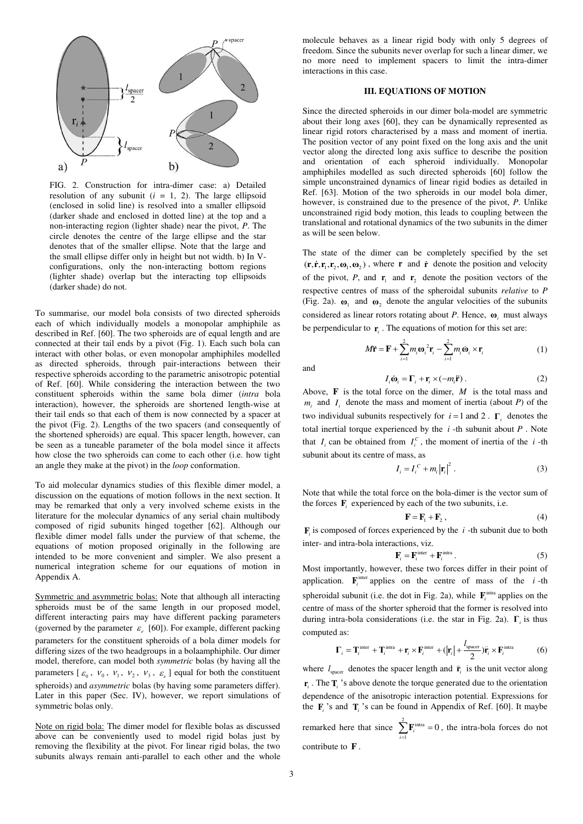

FIG. 2. Construction for intra-dimer case: a) Detailed resolution of any subunit  $(i = 1, 2)$ . The large ellipsoid (enclosed in solid line) is resolved into a smaller ellipsoid (darker shade and enclosed in dotted line) at the top and a non-interacting region (lighter shade) near the pivot, *P*. The circle denotes the centre of the large ellipse and the star denotes that of the smaller ellipse. Note that the large and the small ellipse differ only in height but not width. b) In Vconfigurations, only the non-interacting bottom regions (lighter shade) overlap but the interacting top ellipsoids (darker shade) do not.

To summarise, our model bola consists of two directed spheroids each of which individually models a monopolar amphiphile as described in Ref. [60]. The two spheroids are of equal length and are connected at their tail ends by a pivot (Fig. 1). Each such bola can interact with other bolas, or even monopolar amphiphiles modelled as directed spheroids, through pair-interactions between their respective spheroids according to the parametric anisotropic potential of Ref. [60]. While considering the interaction between the two constituent spheroids within the same bola dimer (*intra* bola interaction), however, the spheroids are shortened length-wise at their tail ends so that each of them is now connected by a spacer at the pivot (Fig. 2). Lengths of the two spacers (and consequently of the shortened spheroids) are equal. This spacer length, however, can be seen as a tuneable parameter of the bola model since it affects how close the two spheroids can come to each other (i.e. how tight an angle they make at the pivot) in the *loop* conformation.

To aid molecular dynamics studies of this flexible dimer model, a discussion on the equations of motion follows in the next section. It may be remarked that only a very involved scheme exists in the literature for the molecular dynamics of any serial chain multibody composed of rigid subunits hinged together [62]. Although our flexible dimer model falls under the purview of that scheme, the equations of motion proposed originally in the following are intended to be more convenient and simpler. We also present a numerical integration scheme for our equations of motion in Appendix A.

Symmetric and asymmetric bolas: Note that although all interacting spheroids must be of the same length in our proposed model, different interacting pairs may have different packing parameters (governed by the parameter  $\varepsilon_e$  [60]). For example, different packing parameters for the constituent spheroids of a bola dimer models for differing sizes of the two headgroups in a bolaamphiphile. Our dimer model, therefore, can model both *symmetric* bolas (by having all the parameters  $[\varepsilon_0, v_0, v_1, v_2, v_3, \varepsilon_e]$  equal for both the constituent spheroids) and *asymmetric* bolas (by having some parameters differ). Later in this paper (Sec. IV), however, we report simulations of symmetric bolas only.

Note on rigid bola: The dimer model for flexible bolas as discussed above can be conveniently used to model rigid bolas just by removing the flexibility at the pivot. For linear rigid bolas, the two subunits always remain anti-parallel to each other and the whole

molecule behaves as a linear rigid body with only 5 degrees of freedom. Since the subunits never overlap for such a linear dimer, we no more need to implement spacers to limit the intra-dimer interactions in this case.

# **III. EQUATIONS OF MOTION**

Since the directed spheroids in our dimer bola-model are symmetric about their long axes [60], they can be dynamically represented as linear rigid rotors characterised by a mass and moment of inertia. The position vector of any point fixed on the long axis and the unit vector along the directed long axis suffice to describe the position and orientation of each spheroid individually. Monopolar amphiphiles modelled as such directed spheroids [60] follow the simple unconstrained dynamics of linear rigid bodies as detailed in Ref. [63]. Motion of the two spheroids in our model bola dimer, however, is constrained due to the presence of the pivot, *P*. Unlike unconstrained rigid body motion, this leads to coupling between the translational and rotational dynamics of the two subunits in the dimer as will be seen below.

The state of the dimer can be completely specified by the set  $(\mathbf{r}, \dot{\mathbf{r}}, \mathbf{r}_1, \mathbf{r}_2, \mathbf{\omega}_1, \mathbf{\omega}_2)$ , where **r** and **r** denote the position and velocity of the pivot,  $P$ , and  $\mathbf{r}_1$  and  $\mathbf{r}_2$  denote the position vectors of the respective centres of mass of the spheroidal subunits *relative* to *P* (Fig. 2a).  $\mathbf{\omega}_1$  and  $\mathbf{\omega}_2$  denote the angular velocities of the subunits considered as linear rotors rotating about *P*. Hence, **ω***<sup>i</sup>* must always be perpendicular to  $\mathbf{r}_i$ . The equations of motion for this set are:

 $\sum_{m=0}^{2}$   $\frac{2}{2}$   $\sum_{m=0}^{2}$ 

and

$$
I_i \dot{\mathbf{\omega}}_i = \Gamma_i + \mathbf{r}_i \times (-m_i \ddot{\mathbf{r}}).
$$
 (2)

 $M\ddot{\mathbf{r}} = \mathbf{F} + \sum_{i=1}^{n} m_i \boldsymbol{\omega}_i^2 \mathbf{r}_i - \sum_{i=1}^{n} m_i \dot{\boldsymbol{\omega}}_i \times \mathbf{r}_i$  (1)

Above, **F** is the total force on the dimer, *M* is the total mass and  $m_i$  and  $I_i$  denote the mass and moment of inertia (about *P*) of the two individual subunits respectively for  $i = 1$  and 2.  $\Gamma_i$  denotes the total inertial torque experienced by the *i* -th subunit about *P* . Note that  $I_i$  can be obtained from  $I_i^C$ , the moment of inertia of the *i*-th subunit about its centre of mass, as

$$
I_i = I_i^C + m_i |\mathbf{r}_i|^2.
$$
 (3)

Note that while the total force on the bola-dimer is the vector sum of the forces  $\mathbf{F}_i$  experienced by each of the two subunits, i.e.

$$
\mathbf{F} = \mathbf{F}_1 + \mathbf{F}_2 \,,\tag{4}
$$

 $\mathbf{F}_i$  is composed of forces experienced by the  $i$ -th subunit due to both inter- and intra-bola interactions, viz.

$$
\mathbf{F}_{i} = \mathbf{F}_{i}^{\text{inter}} + \mathbf{F}_{i}^{\text{intra}}.
$$
 (5)

Most importantly, however, these two forces differ in their point of application.  $\mathbf{F}_i^{\text{inter}}$  applies on the centre of mass of the *i*-th spheroidal subunit (i.e. the dot in Fig. 2a), while  $\mathbf{F}_i^{\text{intra}}$  applies on the centre of mass of the shorter spheroid that the former is resolved into during intra-bola considerations (i.e. the star in Fig. 2a). **Γ***<sup>i</sup>* is thus computed as:

$$
\mathbf{\Gamma}_{i} = \mathbf{T}_{i}^{\text{inter}} + \mathbf{T}_{i}^{\text{intra}} + \mathbf{r}_{i} \times \mathbf{F}_{i}^{\text{inter}} + (\left| \mathbf{r}_{i} \right| + \frac{l_{\text{space}}}{2})\hat{\mathbf{r}}_{i} \times \mathbf{F}_{i}^{\text{intra}}
$$
(6)

where  $l_{\text{space}}$  denotes the spacer length and  $\hat{\mathbf{r}}_i$  is the unit vector along  $\mathbf{r}_i$ . The  $\mathbf{T}_i$  's above denote the torque generated due to the orientation dependence of the anisotropic interaction potential. Expressions for the  $\mathbf{F}_i$  's and  $\mathbf{T}_i$  's can be found in Appendix of Ref. [60]. It maybe remarked here that since  $\sum_{i=1}^{2} \mathbf{F}_i^{\text{intra}}$  $\sum_{i=1}$ **F**<sub>*i*</sub><sup>intra</sup> = 0, the intra-bola forces do not contribute to **F** .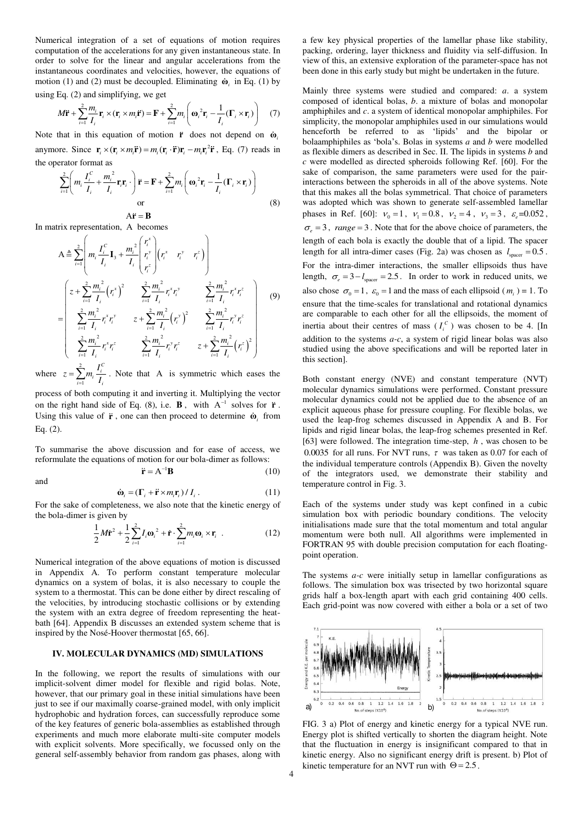Numerical integration of a set of equations of motion requires computation of the accelerations for any given instantaneous state. In order to solve for the linear and angular accelerations from the instantaneous coordinates and velocities, however, the equations of motion (1) and (2) must be decoupled. Eliminating  $\dot{\mathbf{w}}_i$  in Eq. (1) by using Eq. (2) and simplifying, we get

$$
M\ddot{\mathbf{r}} + \sum_{i=1}^{2} \frac{m_i}{I_i} \mathbf{r}_i \times (\mathbf{r}_i \times m_i \ddot{\mathbf{r}}) = \mathbf{F} + \sum_{i=1}^{2} m_i \left( \mathbf{\omega}_i^2 \mathbf{r}_i - \frac{1}{I_i} (\mathbf{\Gamma}_i \times \mathbf{r}_i) \right) \tag{7}
$$

Note that in this equation of motion  $\ddot{\mathbf{r}}$  does not depend on  $\ddot{\mathbf{\omega}}$ .

anymore. Since  $\mathbf{r}_i \times (\mathbf{r}_i \times m_i \ddot{\mathbf{r}}) = m_i(\mathbf{r}_i \cdot \ddot{\mathbf{r}}) \mathbf{r}_i - m_i \mathbf{r}_i^2 \ddot{\mathbf{r}}$ , Eq. (7) reads in the operator format as

$$
\sum_{i=1}^{2} \left( m_i \frac{I_i^c}{I_i} + \frac{m_i^2}{I_i} \mathbf{r}_i \mathbf{r}_i \cdot \right) \ddot{\mathbf{r}} = \mathbf{F} + \sum_{i=1}^{2} m_i \left( \mathbf{\omega}_i^2 \mathbf{r}_i - \frac{1}{I_i} (\mathbf{\Gamma}_i \times \mathbf{r}_i) \right)
$$
\nor

\n
$$
A \ddot{\mathbf{r}} = \mathbf{B}
$$
\n(8)

In matrix representation, A becomes

$$
A \triangleq \sum_{i=1}^{2} \left( m_i \frac{I_i^C}{I_i} \mathbf{I}_3 + \frac{m_i^2}{I_i} \left( r_i^x \right) r_i^y \right) \begin{pmatrix} r_i^x & r_i^y & r_i^z \ r_i^y & r_i^z & r_i^z \end{pmatrix}
$$
\n
$$
= \begin{pmatrix} z + \sum_{i=1}^{2} \frac{m_i^2}{I_i} (r_i^x)^2 & \sum_{i=1}^{2} \frac{m_i^2}{I_i} r_i^x r_i^y & \sum_{i=1}^{2} \frac{m_i^2}{I_i} r_i^x r_i^z \ \sum_{i=1}^{2} \frac{m_i^2}{I_i} r_i^x r_i^y & z + \sum_{i=1}^{2} \frac{m_i^2}{I_i} (r_i^y)^2 & \sum_{i=1}^{2} \frac{m_i^2}{I_i} r_i^y r_i^z \ \sum_{i=1}^{2} \frac{m_i^2}{I_i} r_i^x r_i^z & \sum_{i=1}^{2} \frac{m_i^2}{I_i} r_i^y r_i^z & z + \sum_{i=1}^{2} \frac{m_i^2}{I_i} (r_i^z)^2 \end{pmatrix}
$$
\n(9)

where  $z = \sum^2$ 1  $\sum_{i=1}^{2} m_i \frac{I_i^C}{I_i}$  $z = \sum_{i=1}^{2} m_i \frac{I_i^C}{I_i}$ . Note that A is symmetric which eases the

process of both computing it and inverting it. Multiplying the vector on the right hand side of Eq. (8), i.e.  $\mathbf{B}$ , with  $A^{-1}$  solves for **r**. Using this value of  $\ddot{\mathbf{r}}$ , one can then proceed to determine  $\dot{\mathbf{\omega}}_i$  from Eq. (2).

To summarise the above discussion and for ease of access, we reformulate the equations of motion for our bola-dimer as follows:

$$
\ddot{\mathbf{r}} = \mathbf{A}^{-1} \mathbf{B} \tag{10}
$$

and

$$
\dot{\mathbf{\omega}}_i = (\mathbf{\Gamma}_i + \ddot{\mathbf{r}} \times m_i \mathbf{r}_i) / I_i. \tag{11}
$$

For the sake of completeness, we also note that the kinetic energy of the bola-dimer is given by

$$
\frac{1}{2}M\dot{\mathbf{r}}^2 + \frac{1}{2}\sum_{i=1}^2 I_i \boldsymbol{\omega}_i^2 + \dot{\mathbf{r}} \cdot \sum_{i=1}^2 m_i \boldsymbol{\omega}_i \times \mathbf{r}_i
$$
 (12)

Numerical integration of the above equations of motion is discussed in Appendix A. To perform constant temperature molecular dynamics on a system of bolas, it is also necessary to couple the system to a thermostat. This can be done either by direct rescaling of the velocities, by introducing stochastic collisions or by extending the system with an extra degree of freedom representing the heatbath [64]. Appendix B discusses an extended system scheme that is inspired by the Nosé-Hoover thermostat [65, 66].

### **IV. MOLECULAR DYNAMICS (MD) SIMULATIONS**

In the following, we report the results of simulations with our implicit-solvent dimer model for flexible and rigid bolas. Note, however, that our primary goal in these initial simulations have been just to see if our maximally coarse-grained model, with only implicit hydrophobic and hydration forces, can successfully reproduce some of the key features of generic bola-assemblies as established through experiments and much more elaborate multi-site computer models with explicit solvents. More specifically, we focussed only on the general self-assembly behavior from random gas phases, along with a few key physical properties of the lamellar phase like stability, packing, ordering, layer thickness and fluidity via self-diffusion. In view of this, an extensive exploration of the parameter-space has not been done in this early study but might be undertaken in the future.

Mainly three systems were studied and compared: *a*. a system composed of identical bolas, *b*. a mixture of bolas and monopolar amphiphiles and *c*. a system of identical monopolar amphiphiles. For simplicity, the monopolar amphiphiles used in our simulations would henceforth be referred to as 'lipids' and the bipolar or bolaamphiphiles as 'bola's. Bolas in systems *a* and *b* were modelled as flexible dimers as described in Sec. II. The lipids in systems *b* and *c* were modelled as directed spheroids following Ref. [60]. For the sake of comparison, the same parameters were used for the pairinteractions between the spheroids in all of the above systems. Note that this makes all the bolas symmetrical. That choice of parameters was adopted which was shown to generate self-assembled lamellar phases in Ref. [60]:  $v_0 = 1$ ,  $v_1 = 0.8$ ,  $v_2 = 4$ ,  $v_3 = 3$ ,  $\varepsilon_e = 0.052$ ,  $\sigma_e = 3$ , *range* = 3. Note that for the above choice of parameters, the length of each bola is exactly the double that of a lipid. The spacer length for all intra-dimer cases (Fig. 2a) was chosen as  $l_{\text{space}} = 0.5$ . For the intra-dimer interactions, the smaller ellipsoids thus have length,  $\sigma_e = 3 - l_{\text{space}} = 2.5$ . In order to work in reduced units, we also chose  $\sigma_0 = 1$ ,  $\varepsilon_0 = 1$  and the mass of each ellipsoid ( $m_i$ ) = 1. To ensure that the time-scales for translational and rotational dynamics are comparable to each other for all the ellipsoids, the moment of inertia about their centres of mass  $(I_i^c)$  was chosen to be 4. [In addition to the systems *a-c*, a system of rigid linear bolas was also studied using the above specifications and will be reported later in this section].

Both constant energy (NVE) and constant temperature (NVT) molecular dynamics simulations were performed. Constant pressure molecular dynamics could not be applied due to the absence of an explicit aqueous phase for pressure coupling. For flexible bolas, we used the leap-frog schemes discussed in Appendix A and B. For lipids and rigid linear bolas, the leap-frog schemes presented in Ref. [63] were followed. The integration time-step, *h* , was chosen to be 0.0035 for all runs. For NVT runs,  $\tau$  was taken as 0.07 for each of the individual temperature controls (Appendix B). Given the novelty of the integrators used, we demonstrate their stability and temperature control in Fig. 3.

Each of the systems under study was kept confined in a cubic simulation box with periodic boundary conditions. The velocity initialisations made sure that the total momentum and total angular momentum were both null. All algorithms were implemented in FORTRAN 95 with double precision computation for each floatingpoint operation.

The systems *a-c* were initially setup in lamellar configurations as follows. The simulation box was trisected by two horizontal square grids half a box-length apart with each grid containing 400 cells. Each grid-point was now covered with either a bola or a set of two



FIG. 3 a) Plot of energy and kinetic energy for a typical NVE run. Energy plot is shifted vertically to shorten the diagram height. Note that the fluctuation in energy is insignificant compared to that in kinetic energy. Also no significant energy drift is present. b) Plot of kinetic temperature for an NVT run with  $\Theta = 2.5$ .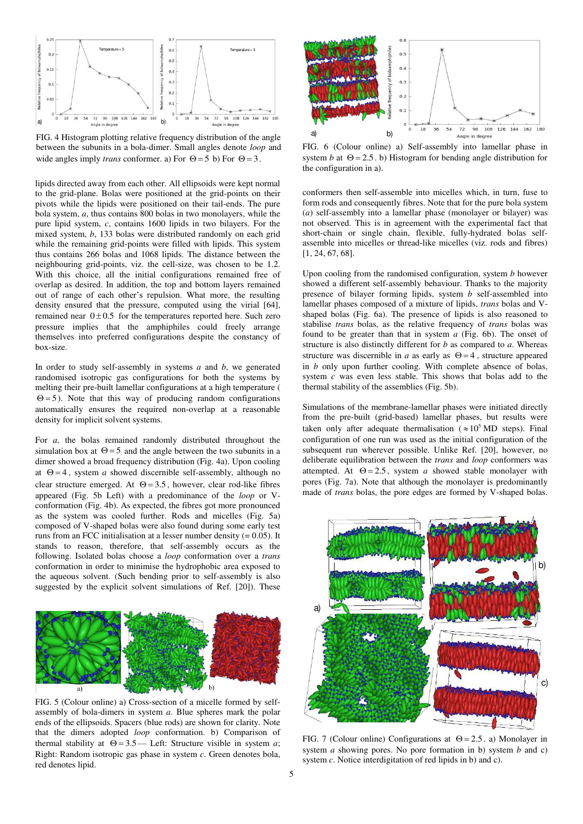

FIG. 4 Histogram plotting relative frequency distribution of the angle between the subunits in a bola-dimer. Small angles denote *loop* and wide angles imply *trans* conformer. a) For  $\Theta = 5$  b) For  $\Theta = 3$ .

lipids directed away from each other. All ellipsoids were kept normal to the grid-plane. Bolas were positioned at the grid-points on their pivots while the lipids were positioned on their tail-ends. The pure bola system, *a*, thus contains 800 bolas in two monolayers, while the pure lipid system, *c*, contains 1600 lipids in two bilayers. For the mixed system, *b*, 133 bolas were distributed randomly on each grid while the remaining grid-points were filled with lipids. This system thus contains 266 bolas and 1068 lipids. The distance between the neighbouring grid-points, viz. the cell-size, was chosen to be 1.2. With this choice, all the initial configurations remained free of overlap as desired. In addition, the top and bottom layers remained out of range of each other's repulsion. What more, the resulting density ensured that the pressure, computed using the virial [64], remained near  $0 \pm 0.5$  for the temperatures reported here. Such zero pressure implies that the amphiphiles could freely arrange themselves into preferred configurations despite the constancy of box-size.

In order to study self-assembly in systems *a* and *b*, we generated randomised isotropic gas configurations for both the systems by melting their pre-built lamellar configurations at a high temperature (  $\Theta$  = 5). Note that this way of producing random configurations automatically ensures the required non-overlap at a reasonable density for implicit solvent systems.

For *a*, the bolas remained randomly distributed throughout the simulation box at  $\Theta = 5$  and the angle between the two subunits in a dimer showed a broad frequency distribution (Fig. 4a). Upon cooling at  $\Theta = 4$ , system *a* showed discernible self-assembly, although no clear structure emerged. At  $\Theta = 3.5$ , however, clear rod-like fibres appeared (Fig. 5b Left) with a predominance of the *loop* or Vconformation (Fig. 4b). As expected, the fibres got more pronounced as the system was cooled further. Rods and micelles (Fig. 5a) composed of V-shaped bolas were also found during some early test runs from an FCC initialisation at a lesser number density  $(= 0.05)$ . It stands to reason, therefore, that self-assembly occurs as the following. Isolated bolas choose a *loop* conformation over a *trans* conformation in order to minimise the hydrophobic area exposed to the aqueous solvent. (Such bending prior to self-assembly is also suggested by the explicit solvent simulations of Ref. [20]). These



FIG. 5 (Colour online) a) Cross-section of a micelle formed by selfassembly of bola-dimers in system *a*. Blue spheres mark the polar ends of the ellipsoids. Spacers (blue rods) are shown for clarity. Note that the dimers adopted *loop* conformation. b) Comparison of thermal stability at  $\Theta = 3.5$ — Left: Structure visible in system *a*; Right: Random isotropic gas phase in system *c*. Green denotes bola, red denotes lipid.



FIG. 6 (Colour online) a) Self-assembly into lamellar phase in system *b* at  $\Theta = 2.5$ . b) Histogram for bending angle distribution for the configuration in a).

conformers then self-assemble into micelles which, in turn, fuse to form rods and consequently fibres. Note that for the pure bola system (*a*) self-assembly into a lamellar phase (monolayer or bilayer) was not observed. This is in agreement with the experimental fact that short-chain or single chain, flexible, fully-hydrated bolas selfassemble into micelles or thread-like micelles (viz. rods and fibres) [1, 24, 67, 68].

Upon cooling from the randomised configuration, system *b* however showed a different self-assembly behaviour. Thanks to the majority presence of bilayer forming lipids, system *b* self-assembled into lamellar phases composed of a mixture of lipids, *trans* bolas and Vshaped bolas (Fig. 6a). The presence of lipids is also reasoned to stabilise *trans* bolas, as the relative frequency of *trans* bolas was found to be greater than that in system *a* (Fig. 6b). The onset of structure is also distinctly different for *b* as compared to *a*. Whereas structure was discernible in *a* as early as  $\Theta = 4$ , structure appeared in *b* only upon further cooling. With complete absence of bolas, system *c* was even less stable. This shows that bolas add to the thermal stability of the assemblies (Fig. 5b).

Simulations of the membrane-lamellar phases were initiated directly from the pre-built (grid-based) lamellar phases, but results were taken only after adequate thermalisation ( $\approx 10^5$  MD steps). Final configuration of one run was used as the initial configuration of the subsequent run wherever possible. Unlike Ref. [20], however, no deliberate equilibration between the *trans* and *loop* conformers was attempted. At  $\Theta = 2.5$ , system *a* showed stable monolayer with pores (Fig. 7a). Note that although the monolayer is predominantly made of *trans* bolas, the pore edges are formed by V-shaped bolas.



FIG. 7 (Colour online) Configurations at  $\Theta = 2.5$ . a) Monolayer in system *a* showing pores. No pore formation in b) system *b* and c) system *c*. Notice interdigitation of red lipids in b) and c).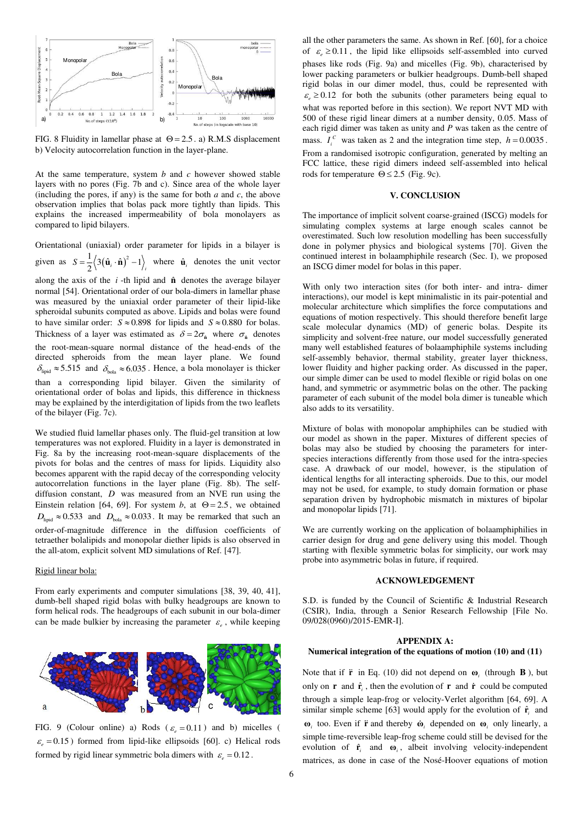

FIG. 8 Fluidity in lamellar phase at  $\Theta = 2.5$ . a) R.M.S displacement b) Velocity autocorrelation function in the layer-plane.

At the same temperature, system *b* and *c* however showed stable layers with no pores (Fig. 7b and c). Since area of the whole layer (including the pores, if any) is the same for both *a* and *c*, the above observation implies that bolas pack more tightly than lipids. This explains the increased impermeability of bola monolayers as compared to lipid bilayers.

Orientational (uniaxial) order parameter for lipids in a bilayer is given as  $S = \frac{1}{2} \langle 3(\hat{\mathbf{u}}_i \cdot \hat{\mathbf{n}})^2 - 1 \rangle_i$  where  $\hat{\mathbf{u}}_i$  denotes the unit vector along the axis of the  $i$ -th lipid and  $\hat{\bf{n}}$  denotes the average bilayer normal [54]. Orientational order of our bola-dimers in lamellar phase was measured by the uniaxial order parameter of their lipid-like spheroidal subunits computed as above. Lipids and bolas were found to have similar order:  $S \approx 0.898$  for lipids and  $S \approx 0.880$  for bolas. Thickness of a layer was estimated as  $\delta = 2\sigma_{\hat{n}}$  where  $\sigma_{\hat{n}}$  denotes the root-mean-square normal distance of the head-ends of the directed spheroids from the mean layer plane. We found  $\delta_{\text{lipid}} \approx 5.515$  and  $\delta_{\text{bola}} \approx 6.035$ . Hence, a bola monolayer is thicker than a corresponding lipid bilayer. Given the similarity of orientational order of bolas and lipids, this difference in thickness may be explained by the interdigitation of lipids from the two leaflets of the bilayer (Fig. 7c).

We studied fluid lamellar phases only. The fluid-gel transition at low temperatures was not explored. Fluidity in a layer is demonstrated in Fig. 8a by the increasing root-mean-square displacements of the pivots for bolas and the centres of mass for lipids. Liquidity also becomes apparent with the rapid decay of the corresponding velocity autocorrelation functions in the layer plane (Fig. 8b). The selfdiffusion constant, *D* was measured from an NVE run using the Einstein relation [64, 69]. For system *b*, at  $\Theta = 2.5$ , we obtained  $D_{\text{lipid}} \approx 0.533$  and  $D_{\text{bola}} \approx 0.033$ . It may be remarked that such an order-of-magnitude difference in the diffusion coefficients of tetraether bolalipids and monopolar diether lipids is also observed in the all-atom, explicit solvent MD simulations of Ref. [47].

## Rigid linear bola:

From early experiments and computer simulations [38, 39, 40, 41], dumb-bell shaped rigid bolas with bulky headgroups are known to form helical rods. The headgroups of each subunit in our bola-dimer can be made bulkier by increasing the parameter  $\varepsilon_e$ , while keeping



FIG. 9 (Colour online) a) Rods ( $\varepsilon_z = 0.11$ ) and b) micelles (  $\varepsilon$  = 0.15 ) formed from lipid-like ellipsoids [60]. c) Helical rods formed by rigid linear symmetric bola dimers with  $\varepsilon$ <sub>c</sub> = 0.12.

all the other parameters the same. As shown in Ref. [60], for a choice of  $\varepsilon \geq 0.11$ , the lipid like ellipsoids self-assembled into curved phases like rods (Fig. 9a) and micelles (Fig. 9b), characterised by lower packing parameters or bulkier headgroups. Dumb-bell shaped rigid bolas in our dimer model, thus, could be represented with  $\epsilon$   $\geq$  0.12 for both the subunits (other parameters being equal to what was reported before in this section). We report NVT MD with 500 of these rigid linear dimers at a number density, 0.05. Mass of each rigid dimer was taken as unity and *P* was taken as the centre of mass.  $I_i^c$  was taken as 2 and the integration time step,  $h = 0.0035$ . From a randomised isotropic configuration, generated by melting an FCC lattice, these rigid dimers indeed self-assembled into helical rods for temperature  $\Theta \le 2.5$  (Fig. 9c).

#### **V. CONCLUSION**

The importance of implicit solvent coarse-grained (ISCG) models for simulating complex systems at large enough scales cannot be overestimated. Such low resolution modelling has been successfully done in polymer physics and biological systems [70]. Given the continued interest in bolaamphiphile research (Sec. I), we proposed an ISCG dimer model for bolas in this paper.

With only two interaction sites (for both inter- and intra- dimer interactions), our model is kept minimalistic in its pair-potential and molecular architecture which simplifies the force computations and equations of motion respectively. This should therefore benefit large scale molecular dynamics (MD) of generic bolas. Despite its simplicity and solvent-free nature, our model successfully generated many well established features of bolaamphiphile systems including self-assembly behavior, thermal stability, greater layer thickness, lower fluidity and higher packing order. As discussed in the paper, our simple dimer can be used to model flexible or rigid bolas on one hand, and symmetric or asymmetric bolas on the other. The packing parameter of each subunit of the model bola dimer is tuneable which also adds to its versatility.

Mixture of bolas with monopolar amphiphiles can be studied with our model as shown in the paper. Mixtures of different species of bolas may also be studied by choosing the parameters for interspecies interactions differently from those used for the intra-species case. A drawback of our model, however, is the stipulation of identical lengths for all interacting spheroids. Due to this, our model may not be used, for example, to study domain formation or phase separation driven by hydrophobic mismatch in mixtures of bipolar and monopolar lipids [71].

We are currently working on the application of bolaamphiphilies in carrier design for drug and gene delivery using this model. Though starting with flexible symmetric bolas for simplicity, our work may probe into asymmetric bolas in future, if required.

### **ACKNOWLEDGEMENT**

S.D. is funded by the Council of Scientific & Industrial Research (CSIR), India, through a Senior Research Fellowship [File No. 09/028(0960)/2015-EMR-I].

### **APPENDIX A:**

## **Numerical integration of the equations of motion (10) and (11)**

Note that if  $\ddot{\mathbf{r}}$  in Eq. (10) did not depend on  $\boldsymbol{\omega}_i$  (through **B**), but only on **r** and  $\hat{\mathbf{r}}_i$ , then the evolution of **r** and **r** could be computed through a simple leap-frog or velocity-Verlet algorithm [64, 69]. A similar simple scheme [63] would apply for the evolution of  $\hat{\mathbf{r}}_i$  and **ω**<sub>*i*</sub> too. Even if **r** and thereby  $\dot{\mathbf{w}}_i$  depended on  $\mathbf{w}_i$  only linearly, a simple time-reversible leap-frog scheme could still be devised for the evolution of  $\hat{\mathbf{r}}_i$  and  $\mathbf{\omega}_i$ , albeit involving velocity-independent matrices, as done in case of the Nosé-Hoover equations of motion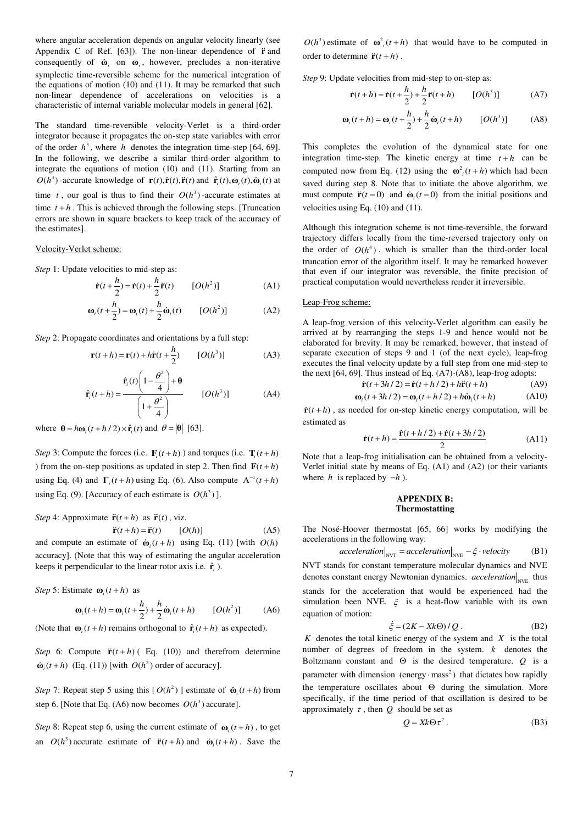where angular acceleration depends on angular velocity linearly (see Appendix C of Ref. [63]). The non-linear dependence of  $\ddot{\mathbf{r}}$  and consequently of  $\dot{\mathbf{\omega}}_i$  on  $\mathbf{\omega}_i$ , however, precludes a non-iterative symplectic time-reversible scheme for the numerical integration of the equations of motion (10) and (11). It may be remarked that such non-linear dependence of accelerations on velocities is a characteristic of internal variable molecular models in general [62].

The standard time-reversible velocity-Verlet is a third-order integrator because it propagates the on-step state variables with error of the order  $h^3$ , where *h* denotes the integration time-step [64, 69]. In the following, we describe a similar third-order algorithm to integrate the equations of motion (10) and (11). Starting from an  $O(h^3)$  -accurate knowledge of  $\mathbf{r}(t), \dot{\mathbf{r}}(t), \ddot{\mathbf{r}}(t)$  and  $\hat{\mathbf{r}}(t), \omega_i(t), \dot{\omega}_i(t)$  at time *t*, our goal is thus to find their  $O(h^3)$  -accurate estimates at time  $t + h$ . This is achieved through the following steps. [Truncation errors are shown in square brackets to keep track of the accuracy of the estimates].

#### Velocity-Verlet scheme:

*Step* 1: Update velocities to mid-step as:

$$
\dot{\mathbf{r}}(t + \frac{h}{2}) = \dot{\mathbf{r}}(t) + \frac{h}{2}\ddot{\mathbf{r}}(t) \qquad [O(h^2)] \tag{A1}
$$

$$
\mathbf{\omega}_i(t + \frac{h}{2}) = \mathbf{\omega}_i(t) + \frac{h}{2}\dot{\mathbf{\omega}}_i(t) \qquad [O(h^2)] \tag{A2}
$$

*Step* 2: Propagate coordinates and orientations by a full step:

$$
\mathbf{r}(t+h) = \mathbf{r}(t) + h\dot{\mathbf{r}}(t + \frac{h}{2}) \qquad [O(h^3)] \tag{A3}
$$

$$
\hat{\mathbf{r}}_i(t+h) = \frac{\hat{\mathbf{r}}_i(t)\left(1-\frac{\theta^2}{4}\right) + \mathbf{\theta}}{\left(1+\frac{\theta^2}{4}\right)}
$$
 [O(h<sup>3</sup>)] (A4)

where  $\theta = h\omega_i (t + h/2) \times \hat{\mathbf{r}}_i(t)$  and  $\theta = |\theta|$  [63].

*Step* 3: Compute the forces (i.e.  $\mathbf{F}_t(t+h)$ ) and torques (i.e.  $\mathbf{T}_t(t+h)$ ) ) from the on-step positions as updated in step 2. Then find  $\mathbf{F}(t+h)$ using Eq. (4) and  $\Gamma_i(t+h)$  using Eq. (6). Also compute  $A^{-1}(t+h)$ using Eq. (9). [Accuracy of each estimate is  $O(h^3)$ ].

*Step* 4: Approximate  $\ddot{\mathbf{r}}(t+h)$  as  $\ddot{\mathbf{r}}(t)$ , viz.

 $\ddot{\mathbf{r}}(t+h) = \ddot{\mathbf{r}}(t)$  [O(h)] (A5) and compute an estimate of  $\dot{\mathbf{\omega}}$   $(t+h)$  using Eq. (11) [with  $O(h)$ accuracy]. (Note that this way of estimating the angular acceleration keeps it perpendicular to the linear rotor axis i.e.  $\hat{\mathbf{r}}_i$ ).

*Step* 5: Estimate  $\omega_i(t+h)$  as

$$
\mathbf{\omega}_i(t+h) = \mathbf{\omega}_i(t+\frac{h}{2}) + \frac{h}{2}\dot{\mathbf{\omega}}_i(t+h) \qquad [O(h^2)] \tag{A6}
$$

(Note that  $\mathbf{\omega}_i(t+h)$  remains orthogonal to  $\hat{\mathbf{r}}_i(t+h)$  as expected).

*Step* 6: Compute  $\ddot{\mathbf{r}}(t+h)$  (Eq. (10)) and therefrom determine  $\dot{\mathbf{\omega}}_i(t+h)$  (Eq. (11)) [with  $O(h^2)$  order of accuracy].

*Step* 7: Repeat step 5 using this  $[O(h^2)]$  estimate of  $\dot{\mathbf{\omega}}$   $(t+h)$  from step 6. [Note that Eq. (A6) now becomes  $O(h^3)$  accurate].

*Step* 8: Repeat step 6, using the current estimate of  $\mathbf{\omega}_i(t+h)$ , to get an  $O(h^3)$  accurate estimate of  $\ddot{\mathbf{r}}(t+h)$  and  $\dot{\mathbf{\omega}}(t+h)$ . Save the

 $O(h^3)$  estimate of  $\omega_i^2(t+h)$  that would have to be computed in order to determine  $\ddot{\mathbf{r}}(t+h)$ .

*Step* 9: Update velocities from mid-step to on-step as:

$$
\dot{\mathbf{r}}(t+h) = \dot{\mathbf{r}}(t+\frac{h}{2}) + \frac{h}{2}\ddot{\mathbf{r}}(t+h) \qquad [O(h^3)] \tag{A7}
$$

$$
\mathbf{\omega}_i(t+h) = \mathbf{\omega}_i(t+\frac{h}{2}) + \frac{h}{2}\dot{\mathbf{\omega}}_i(t+h) \qquad [O(h^3)] \tag{A8}
$$

This completes the evolution of the dynamical state for one integration time-step. The kinetic energy at time  $t + h$  can be computed now from Eq. (12) using the  $\omega_i^2(t+h)$  which had been saved during step 8. Note that to initiate the above algorithm, we must compute  $\ddot{\mathbf{r}}(t=0)$  and  $\dot{\mathbf{\omega}}(t=0)$  from the initial positions and velocities using Eq. (10) and (11).

Although this integration scheme is not time-reversible, the forward trajectory differs locally from the time-reversed trajectory only on the order of  $O(h^4)$ , which is smaller than the third-order local truncation error of the algorithm itself. It may be remarked however that even if our integrator was reversible, the finite precision of practical computation would nevertheless render it irreversible.

#### Leap-Frog scheme:

A leap-frog version of this velocity-Verlet algorithm can easily be arrived at by rearranging the steps 1-9 and hence would not be elaborated for brevity. It may be remarked, however, that instead of separate execution of steps 9 and 1 (of the next cycle), leap-frog executes the final velocity update by a full step from one mid-step to the next [64, 69]. Thus instead of Eq. (A7)-(A8), leap-frog adopts:

$$
\dot{\mathbf{r}}(t+3h/2) = \dot{\mathbf{r}}(t+h/2) + h\ddot{\mathbf{r}}(t+h)
$$
 (A9)

$$
\mathbf{\omega}_i(t+3h/2) = \mathbf{\omega}_i(t+h/2) + h\dot{\mathbf{\omega}}_i(t+h)
$$
 (A10)

 $\dot{\mathbf{r}}(t+h)$ , as needed for on-step kinetic energy computation, will be estimated as

$$
\dot{\mathbf{r}}(t+h) = \frac{\dot{\mathbf{r}}(t+h/2) + \dot{\mathbf{r}}(t+3h/2)}{2}
$$
 (A11)

Note that a leap-frog initialisation can be obtained from a velocity-Verlet initial state by means of Eq. (A1) and (A2) (or their variants where *h* is replaced by  $-h$ ).

## **APPENDIX B: Thermostatting**

The Nosé-Hoover thermostat [65, 66] works by modifying the accelerations in the following way:

$$
acceleration \Big|_{\text{NVT}} = acceleration \Big|_{\text{NVE}} - \xi \cdot velocity \qquad (B1)
$$

NVT stands for constant temperature molecular dynamics and NVE denotes constant energy Newtonian dynamics. *acceleration* N<sub>NVE</sub> thus stands for the acceleration that would be experienced had the simulation been NVE.  $\xi$  is a heat-flow variable with its own equation of motion:

$$
\dot{\xi} = (2K - Xk\Theta) / Q. \tag{B2}
$$

 $K$  denotes the total kinetic energy of the system and  $X$  is the total number of degrees of freedom in the system. *k* denotes the Boltzmann constant and  $\Theta$  is the desired temperature. *Q* is a parameter with dimension (energy  $\cdot$  mass<sup>2</sup>) that dictates how rapidly the temperature oscillates about  $\Theta$  during the simulation. More specifically, if the time period of that oscillation is desired to be approximately  $\tau$ , then  $Q$  should be set as

$$
Q = Xk\Theta\tau^2. \tag{B3}
$$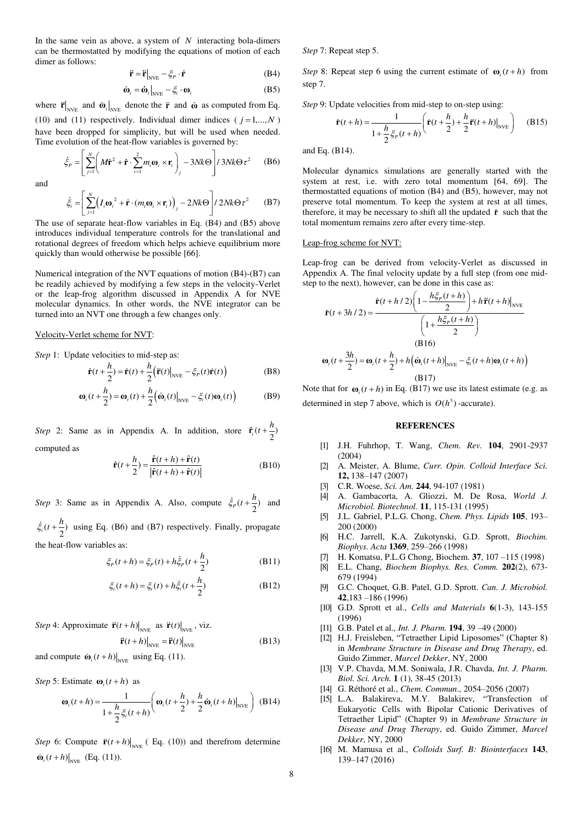In the same vein as above, a system of *N* interacting bola-dimers can be thermostatted by modifying the equations of motion of each dimer as follows:

$$
\ddot{\mathbf{r}} = \ddot{\mathbf{r}}|_{\text{NVE}} - \xi_P \cdot \dot{\mathbf{r}} \tag{B4}
$$

$$
\dot{\mathbf{\omega}}_i = \dot{\mathbf{\omega}}_i \big|_{\text{NVE}} - \xi_i \cdot \mathbf{\omega}_i \tag{B5}
$$

where  $\mathbf{r}_{\text{NVE}}$  and  $\mathbf{\omega}_i|_{\text{NVE}}$  denote the  $\mathbf{r}$  and  $\mathbf{\omega}$  as computed from Eq. (10) and (11) respectively. Individual dimer indices ( $j = 1,..., N$ ) have been dropped for simplicity, but will be used when needed. Time evolution of the heat-flow variables is governed by:

$$
\dot{\xi}_P = \left[ \sum_{j=1}^N \left( M \dot{\mathbf{r}}^2 + \dot{\mathbf{r}} \cdot \sum_{i=1}^2 m_i \mathbf{\omega}_i \times \mathbf{r}_i \right)_j - 3Nk \Theta \right] / 3Nk \Theta \tau^2 \qquad (B6)
$$

and

$$
\dot{\xi}_i = \left[ \sum_{j=1}^N \left( I_i \mathbf{\omega}_i^2 + \dot{\mathbf{r}} \cdot (m_i \mathbf{\omega}_i \times \mathbf{r}_i) \right)_j - 2Nk\Theta \right] / 2Nk\Theta \tau^2 \qquad (B7)
$$

The use of separate heat-flow variables in Eq. (B4) and (B5) above introduces individual temperature controls for the translational and rotational degrees of freedom which helps achieve equilibrium more quickly than would otherwise be possible [66].

Numerical integration of the NVT equations of motion (B4)-(B7) can be readily achieved by modifying a few steps in the velocity-Verlet or the leap-frog algorithm discussed in Appendix A for NVE molecular dynamics. In other words, the NVE integrator can be turned into an NVT one through a few changes only.

### Velocity-Verlet scheme for NVT:

*Step* 1: Update velocities to mid-step as:

$$
\dot{\mathbf{r}}(t + \frac{h}{2}) = \dot{\mathbf{r}}(t) + \frac{h}{2} (\ddot{\mathbf{r}}(t)|_{\text{NVE}} - \xi_P(t)\dot{\mathbf{r}}(t))
$$
 (B8)

$$
\mathbf{\omega}_i(t+\frac{h}{2}) = \mathbf{\omega}_i(t) + \frac{h}{2} (\dot{\mathbf{\omega}}_i(t)|_{\text{NVE}} - \xi_i(t)\mathbf{\omega}_i(t))
$$
 (B9)

*Step* 2: Same as in Appendix A. In addition, store  $\hat{\mathbf{r}}_i(t + \frac{h}{2})$ computed as

$$
\hat{\mathbf{r}}(t + \frac{h}{2}) = \frac{\hat{\mathbf{r}}(t+h) + \hat{\mathbf{r}}(t)}{|\hat{\mathbf{r}}(t+h) + \hat{\mathbf{r}}(t)|}
$$
(B10)

*Step* 3: Same as in Appendix A. Also, compute  $\dot{\xi}_p(t + \frac{h}{2})$  and  $\dot{\xi}_i(t + \frac{h}{2})$  using Eq. (B6) and (B7) respectively. Finally, propagate the heat-flow variables as:

$$
\xi_{P}(t+h) = \xi_{P}(t) + h\dot{\xi}_{P}(t + \frac{h}{2})
$$
\n(B11)

$$
\xi_i(t+h) = \xi_i(t) + h\dot{\xi}_i(t + \frac{h}{2})
$$
\n(B12)

*Step* 4: Approximate  $\ddot{\mathbf{r}}(t+h)$   $\begin{bmatrix} \n\text{iv} \\
\text{iv} \\
\text{iv}\n\end{bmatrix}$  as  $\ddot{\mathbf{r}}(t)\begin{bmatrix} \n\text{v} \\
\text{iv} \\
\text{v}\n\end{bmatrix}$ 

$$
\ddot{\mathbf{r}}(t+h)\big|_{\text{NVE}} = \ddot{\mathbf{r}}(t)\big|_{\text{NVE}} \tag{B13}
$$

and compute  $\omega_i(t+h)|_{NVE}$  using Eq. (11).

*Step* 5: Estimate  $\omega(t+h)$  as

$$
\mathbf{\omega}_i(t+h) = \frac{1}{1 + \frac{h}{2}\xi_i(t+h)} \left( \mathbf{\omega}_i(t+\frac{h}{2}) + \frac{h}{2}\dot{\mathbf{\omega}}_i(t+h)|_{\text{NVE}} \right)
$$
(B14)

*Step* 6: Compute  $\mathbf{\ddot{r}}(t+h) \big|_{\text{NVE}}$  (Eq. (10)) and therefrom determine  $\omega_i(t+h) \big|_{NVE}$  (Eq. (11)).

*Step* 7: Repeat step 5.

*Step* 8: Repeat step 6 using the current estimate of  $\omega(t+h)$  from step 7.

*Step* 9: Update velocities from mid-step to on-step using:

$$
\dot{\mathbf{r}}(t+h) = \frac{1}{1 + \frac{h}{2} \xi_P(t+h)} \left( \dot{\mathbf{r}}(t+\frac{h}{2}) + \frac{h}{2} \ddot{\mathbf{r}}(t+h) \Big|_{\text{NVE}} \right) \tag{B15}
$$

and Eq. (B14).

Molecular dynamics simulations are generally started with the system at rest, i.e. with zero total momentum [64, 69]. The thermostatted equations of motion (B4) and (B5), however, may not preserve total momentum. To keep the system at rest at all times, therefore, it may be necessary to shift all the updated **r** such that the total momentum remains zero after every time-step.

#### Leap-frog scheme for NVT:

Leap-frog can be derived from velocity-Verlet as discussed in Appendix A. The final velocity update by a full step (from one midstep to the next), however, can be done in this case as:

$$
\dot{\mathbf{r}}(t+3h/2) = \frac{\dot{\mathbf{r}}(t+h/2)\left(1-\frac{h\xi_p(t+h)}{2}\right) + h\ddot{\mathbf{r}}(t+h)|_{\text{NVE}}}{\left(1+\frac{h\xi_p(t+h)}{2}\right)}
$$
\n(B16)\n
$$
\mathbf{\omega}_i(t+\frac{3h}{2}) = \mathbf{\omega}_i(t+\frac{h}{2}) + h\left(\dot{\mathbf{\omega}}_i(t+h)|_{\text{NVE}} - \xi_i(t+h)\mathbf{\omega}_i(t+h)\right)
$$
\n(B17)

Note that for  $\omega_i(t+h)$  in Eq. (B17) we use its latest estimate (e.g. as determined in step 7 above, which is  $O(h^3)$  -accurate).

### **REFERENCES**

- [1] J.H. Fuhrhop, T. Wang, *Chem. Rev.* **104**, 2901-2937 (2004)
- [2] A. Meister, A. Blume, *Curr. Opin. Colloid Interface Sci.*  **12,** 138–147 (2007)
- [3] C.R. Woese, *Sci. Am.* **244**, 94-107 (1981)
- [4] A. Gambacorta, A. Gliozzi, M. De Rosa, *World J. Microbiol. Biotechnol.* **11**, 115-131 (1995)
- [5] J.L. Gabriel, P.L.G. Chong, *Chem. Phys. Lipids* **105**, 193– 200 (2000)
- [6] H.C. Jarrell, K.A. Zukotynski, G.D. Sprott, *Biochim. Biophys. Acta* **1369**, 259–266 (1998)
- [7] H. Komatsu, P.L.G Chong, Biochem. **37**, 107 –115 (1998)
- [8] E.L. Chang, *Biochem Biophys. Res. Comm.* **202**(2), 673- 679 (1994)
- [9] G.C. Choquet, G.B. Patel, G.D. Sprott. *Can. J. Microbiol.*  **42**,183 –186 (1996)
- [10] G.D. Sprott et al., *Cells and Materials* **6**(1-3), 143-155 (1996)
- [11] G.B. Patel et al., *Int. J. Pharm.* **194**, 39 –49 (2000)
- [12] H.J. Freisleben, "Tetraether Lipid Liposomes" (Chapter 8) in *Membrane Structure in Disease and Drug Therapy*, ed. Guido Zimmer, *Marcel Dekker*, NY, 2000
- [13] V.P. Chavda, M.M. Soniwala, J.R. Chavda, *Int. J. Pharm. Biol. Sci. Arch.* **1** (1), 38-45 (2013)
- [14] G. Réthoré et al., *Chem. Commun*., 2054–2056 (2007)
- [15] L.A. Balakireva, M.Y. Balakirev, "Transfection of Eukaryotic Cells with Bipolar Cationic Derivatives of Tetraether Lipid" (Chapter 9) in *Membrane Structure in Disease and Drug Therapy*, ed. Guido Zimmer, *Marcel Dekker*, NY, 2000
- [16] M. Mamusa et al., *Colloids Surf. B: Biointerfaces* **143**, 139–147 (2016)